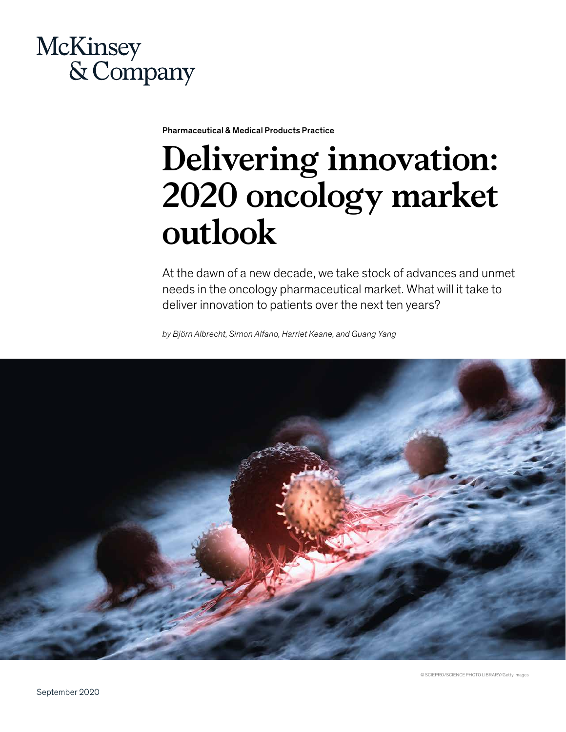

Pharmaceutical & Medical Products Practice

# **Delivering innovation: 2020 oncology market outlook**

At the dawn of a new decade, we take stock of advances and unmet needs in the oncology pharmaceutical market. What will it take to deliver innovation to patients over the next ten years?

*by Björn Albrecht, Simon Alfano, Harriet Keane, and Guang Yang*

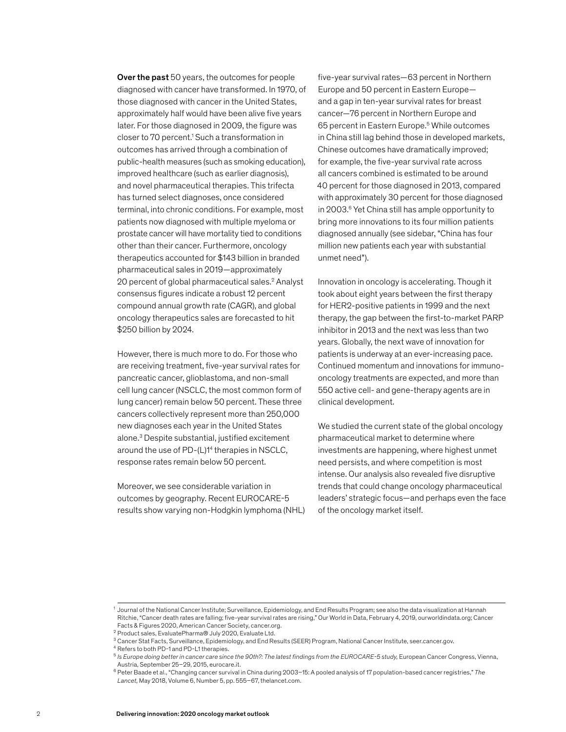Over the past 50 years, the outcomes for people diagnosed with cancer have transformed. In 1970, of those diagnosed with cancer in the United States, approximately half would have been alive five years later. For those diagnosed in 2009, the figure was closer to 70 percent.<sup>1</sup> Such a transformation in outcomes has arrived through a combination of public-health measures (such as smoking education), improved healthcare (such as earlier diagnosis), and novel pharmaceutical therapies. This trifecta has turned select diagnoses, once considered terminal, into chronic conditions. For example, most patients now diagnosed with multiple myeloma or prostate cancer will have mortality tied to conditions other than their cancer. Furthermore, oncology therapeutics accounted for \$143 billion in branded pharmaceutical sales in 2019—approximately 20 percent of global pharmaceutical sales.<sup>2</sup> Analyst consensus figures indicate a robust 12 percent compound annual growth rate (CAGR), and global oncology therapeutics sales are forecasted to hit \$250 billion by 2024.

However, there is much more to do. For those who are receiving treatment, five-year survival rates for pancreatic cancer, glioblastoma, and non-small cell lung cancer (NSCLC, the most common form of lung cancer) remain below 50 percent. These three cancers collectively represent more than 250,000 new diagnoses each year in the United States alone.3 Despite substantial, justified excitement around the use of PD-(L)14 therapies in NSCLC, response rates remain below 50 percent.

Moreover, we see considerable variation in outcomes by geography. Recent EUROCARE-5 results show varying non-Hodgkin lymphoma (NHL) five-year survival rates—63 percent in Northern Europe and 50 percent in Eastern Europe and a gap in ten-year survival rates for breast cancer—76 percent in Northern Europe and 65 percent in Eastern Europe.<sup>5</sup> While outcomes in China still lag behind those in developed markets, Chinese outcomes have dramatically improved; for example, the five-year survival rate across all cancers combined is estimated to be around 40 percent for those diagnosed in 2013, compared with approximately 30 percent for those diagnosed in 2003.6 Yet China still has ample opportunity to bring more innovations to its four million patients diagnosed annually (see sidebar, "China has four million new patients each year with substantial unmet need").

Innovation in oncology is accelerating. Though it took about eight years between the first therapy for HER2-positive patients in 1999 and the next therapy, the gap between the first-to-market PARP inhibitor in 2013 and the next was less than two years. Globally, the next wave of innovation for patients is underway at an ever-increasing pace. Continued momentum and innovations for immunooncology treatments are expected, and more than 550 active cell- and gene-therapy agents are in clinical development.

We studied the current state of the global oncology pharmaceutical market to determine where investments are happening, where highest unmet need persists, and where competition is most intense. Our analysis also revealed five disruptive trends that could change oncology pharmaceutical leaders' strategic focus—and perhaps even the face of the oncology market itself.

<sup>1</sup> Journal of the National Cancer Institute; Surveillance, Epidemiology, and End Results Program; see also the data visualization at Hannah Ritchie, "Cancer death rates are falling; five-year survival rates are rising," Our World in Data, February 4, 2019, ourworldindata.org; Cancer Facts & Figures 2020, American Cancer Society, cancer.org.

<sup>2</sup> Product sales, EvaluatePharma® July 2020, Evaluate Ltd.

<sup>3</sup> Cancer Stat Facts, Surveillance, Epidemiology, and End Results (SEER) Program, National Cancer Institute, seer.cancer.gov.

<sup>4</sup> Refers to both PD-1 and PD-L1 therapies.

<sup>5</sup> *Is Europe doing better in cancer care since the 90th?: The latest findings from the EUROCARE-5 study,* European Cancer Congress, Vienna, Austria, September 25–29, 2015, eurocare.it.

<sup>6</sup> Peter Baade et al., "Changing cancer survival in China during 2003–15: A pooled analysis of 17 population-based cancer registries," *The Lancet,* May 2018, Volume 6, Number 5, pp. 555–67, thelancet.com.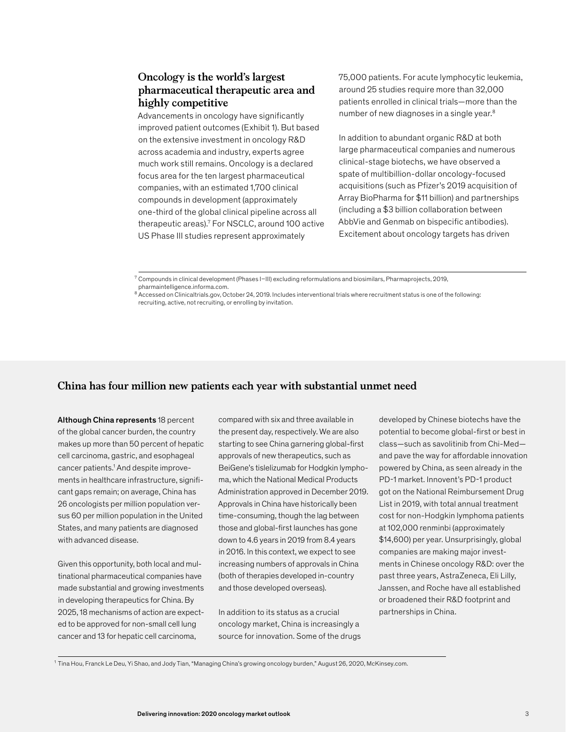# **Oncology is the world's largest pharmaceutical therapeutic area and highly competitive**

Advancements in oncology have significantly improved patient outcomes (Exhibit 1). But based on the extensive investment in oncology R&D across academia and industry, experts agree much work still remains. Oncology is a declared focus area for the ten largest pharmaceutical companies, with an estimated 1,700 clinical compounds in development (approximately one-third of the global clinical pipeline across all therapeutic areas).7 For NSCLC, around 100 active US Phase III studies represent approximately

75,000 patients. For acute lymphocytic leukemia, around 25 studies require more than 32,000 patients enrolled in clinical trials—more than the number of new diagnoses in a single year.8

In addition to abundant organic R&D at both large pharmaceutical companies and numerous clinical-stage biotechs, we have observed a spate of multibillion-dollar oncology-focused acquisitions (such as Pfizer's 2019 acquisition of Array BioPharma for \$11 billion) and partnerships (including a \$3 billion collaboration between AbbVie and Genmab on bispecific antibodies). Excitement about oncology targets has driven

# **China has four million new patients each year with substantial unmet need**

Although China represents 18 percent of the global cancer burden, the country makes up more than 50 percent of hepatic cell carcinoma, gastric, and esophageal cancer patients.<sup>1</sup> And despite improvements in healthcare infrastructure, significant gaps remain; on average, China has 26 oncologists per million population versus 60 per million population in the United States, and many patients are diagnosed with advanced disease.

Given this opportunity, both local and multinational pharmaceutical companies have made substantial and growing investments in developing therapeutics for China. By 2025, 18 mechanisms of action are expected to be approved for non-small cell lung cancer and 13 for hepatic cell carcinoma,

compared with six and three available in the present day, respectively. We are also starting to see China garnering global-first approvals of new therapeutics, such as BeiGene's tislelizumab for Hodgkin lymphoma, which the National Medical Products Administration approved in December 2019. Approvals in China have historically been time-consuming, though the lag between those and global-first launches has gone down to 4.6 years in 2019 from 8.4 years in 2016. In this context, we expect to see increasing numbers of approvals in China (both of therapies developed in-country and those developed overseas).

In addition to its status as a crucial oncology market, China is increasingly a source for innovation. Some of the drugs

developed by Chinese biotechs have the potential to become global-first or best in class—such as savolitinib from Chi-Med and pave the way for affordable innovation powered by China, as seen already in the PD-1 market. Innovent's PD-1 product got on the National Reimbursement Drug List in 2019, with total annual treatment cost for non-Hodgkin lymphoma patients at 102,000 renminbi (approximately \$14,600) per year. Unsurprisingly, global companies are making major investments in Chinese oncology R&D: over the past three years, AstraZeneca, Eli Lilly, Janssen, and Roche have all established or broadened their R&D footprint and partnerships in China.

<sup>1</sup> Tina Hou, Franck Le Deu, Yi Shao, and Jody Tian, "Managing China's growing oncology burden," August 26, 2020, McKinsey.com.

 $^7$  Compounds in clinical development (Phases I–III) excluding reformulations and biosimilars, Pharmaprojects, 2019, pharmaintelligence.informa.com.

<sup>8</sup> Accessed on Clinicaltrials.gov, October 24, 2019. Includes interventional trials where recruitment status is one of the following: recruiting, active, not recruiting, or enrolling by invitation.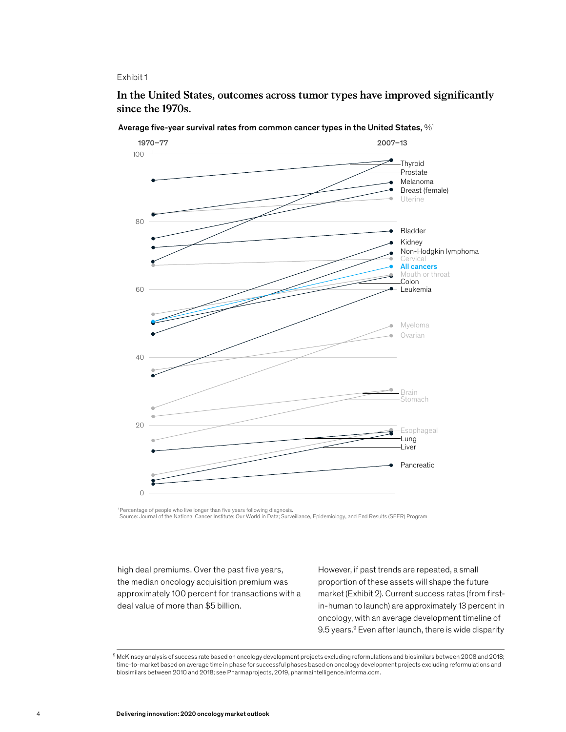In the United States, outcomes across tumor types have improved signicantly **In the United States, outcomes across tumor types have improved significantly**  since the 1970s. **since the 1970s.**



Average five-year survival rates from common cancer types in the United States,  $\%$ <sup>1</sup>

<sup>1</sup>Percentage of people who live longer than five years following diagnosis. Source: Journal of the National Cancer Institute; Our World in Data; Surveillance, Epidemiology, and End Results (SEER) Program

high deal premiums. Over the past five years, the median oncology acquisition premium was approximately 100 percent for transactions with a deal value of more than \$5 billion.

However, if past trends are repeated, a small proportion of these assets will shape the future market (Exhibit 2). Current success rates (from firstin-human to launch) are approximately 13 percent in oncology, with an average development timeline of 9.5 years.<sup>9</sup> Even after launch, there is wide disparity

<sup>9</sup> McKinsey analysis of success rate based on oncology development projects excluding reformulations and biosimilars between 2008 and 2018; time-to-market based on average time in phase for successful phases based on oncology development projects excluding reformulations and biosimilars between 2010 and 2018; see Pharmaprojects, 2019, pharmaintelligence.informa.com.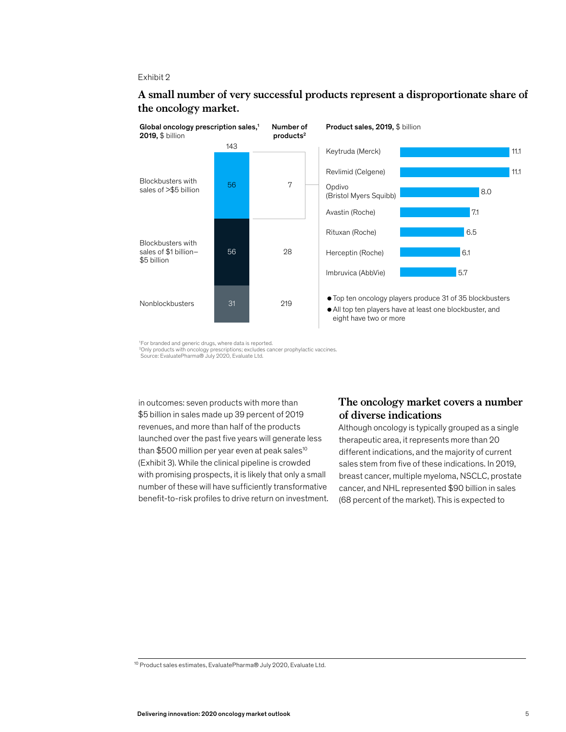

# A small number of very successful products represent a disproportionate share **A small number of very successful products represent a disproportionate share of**  the oncology market.

in outcomes: seven products with more than \$5 billion in sales made up 39 percent of 2019 revenues, and more than half of the products launched over the past five years will generate less than \$500 million per year even at peak sales<sup>10</sup> (Exhibit 3). While the clinical pipeline is crowded with promising prospects, it is likely that only a small number of these will have sufficiently transformative benefit-to-risk profiles to drive return on investment.

# **The oncology market covers a number of diverse indications**

Although oncology is typically grouped as a single therapeutic area, it represents more than 20 different indications, and the majority of current sales stem from five of these indications. In 2019, breast cancer, multiple myeloma, NSCLC, prostate cancer, and NHL represented \$90 billion in sales (68 percent of the market). This is expected to

<sup>&#</sup>x27;For branded and generic drugs, where data is reported.<br>ºOnly products with oncology prescriptions; excludes cancer prophylactic vaccines.<br>Source: EvaluatePharma® July 2020, Evaluate Ltd.

<sup>10</sup> Product sales estimates, EvaluatePharma® July 2020, Evaluate Ltd.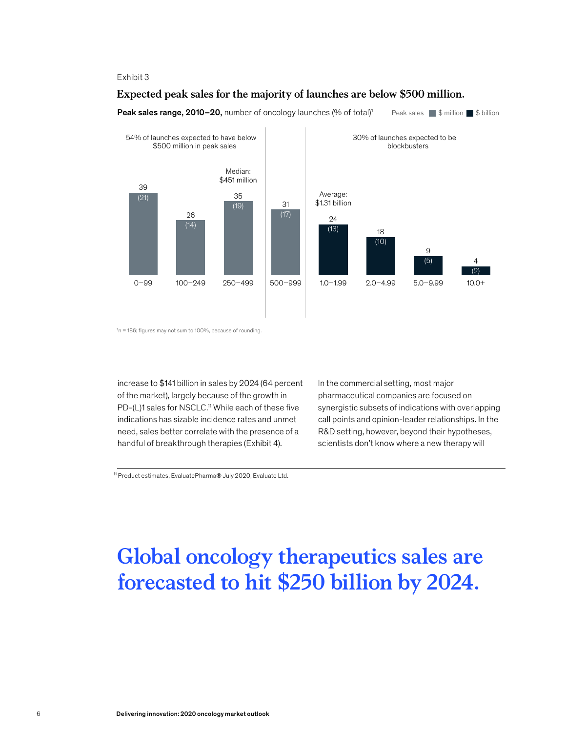# Expected peak sales for the majority of launches are below \$500 million. **Expected peak sales for the majority of launches are below \$500 million.**



# **Peak sales range, 2010–20,** number of oncology launches (% of total)<sup>1</sup> Peak sales  $\blacksquare$  \$ million  $\blacksquare$  \$ billion

 $n = 186$ ; figures may not sum to 100%, because of rounding.

increase to \$141 billion in sales by 2024 (64 percent of the market), largely because of the growth in PD-(L)1 sales for NSCLC.<sup>11</sup> While each of these five indications has sizable incidence rates and unmet need, sales better correlate with the presence of a handful of breakthrough therapies (Exhibit 4).

In the commercial setting, most major pharmaceutical companies are focused on synergistic subsets of indications with overlapping call points and opinion-leader relationships. In the R&D setting, however, beyond their hypotheses, scientists don't know where a new therapy will

11 Product estimates, EvaluatePharma® July 2020, Evaluate Ltd.

# **Global oncology therapeutics sales are forecasted to hit \$250 billion by 2024.**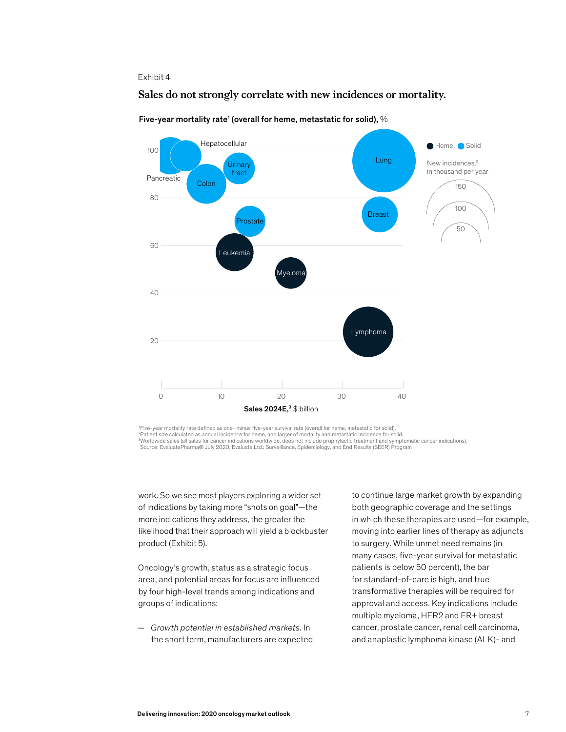# Sales do not strongly correlate with new incidences or mortality. **Sales do not strongly correlate with new incidences or mortality.**



Five-year mortality rate<sup>1</sup> (overall for heme, metastatic for solid),  $\%$ 

<sup>1</sup> Five-year mortality rate defined as one- minus five-year survival rate (overall for heme, metastatic for solid). 2 Patient size calculated as annual incidence for heme, and larger of mortality and metastatic incidence for solid. <sup>3</sup>Worldwide sales (all sales for cancer indications worldwide, does not include prophylactic treatment and symptomatic cancer indications).<br>Source: EvaluatePharma® July 2020, Evaluate Ltd.; Surveillance, Epidemiology, and

work. So we see most players exploring a wider set of indications by taking more "shots on goal"—the more indications they address, the greater the likelihood that their approach will yield a blockbuster product (Exhibit 5).

Oncology's growth, status as a strategic focus area, and potential areas for focus are influenced by four high-level trends among indications and groups of indications:

— *Growth potential in established markets.* In the short term, manufacturers are expected

to continue large market growth by expanding both geographic coverage and the settings in which these therapies are used—for example, moving into earlier lines of therapy as adjuncts to surgery. While unmet need remains (in many cases, five-year survival for metastatic patients is below 50 percent), the bar for standard-of-care is high, and true transformative therapies will be required for approval and access. Key indications include multiple myeloma, HER2 and ER+ breast cancer, prostate cancer, renal cell carcinoma, and anaplastic lymphoma kinase (ALK)- and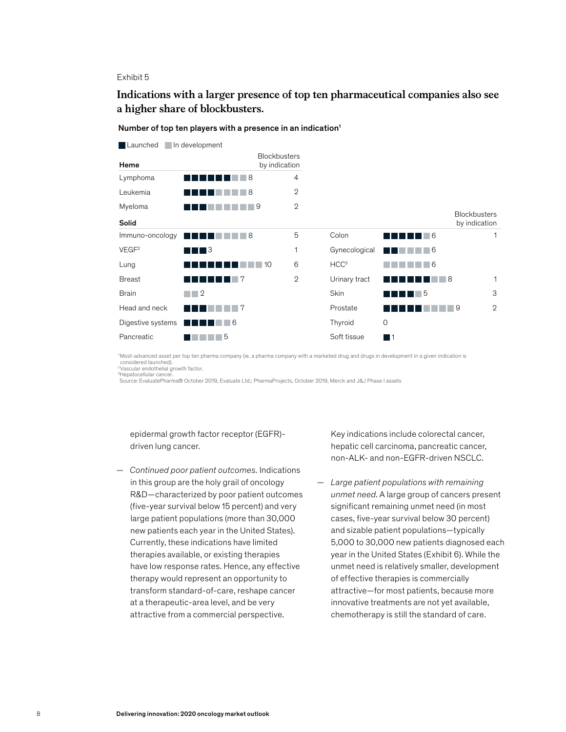# Indications with a larger presence of top ten pharmaceutical companies also **Indications with a larger presence of top ten pharmaceutical companies also see**  a higher share of blockbusters.

#### **Blockbusters Heme** by indication Solid Launched In development Lymphoma **4 1 1 1 1 1** 8 4 Leukemia **2 De la Politika (h. 1888).**<br>2 Myeloma **2 2 2 2 2 2 2** Blockbusters by indication Immuno-oncology **Colon Colon** VEGF<sup>2</sup> and a set of the set of the set of the set of the set of the set of the set of the set of the set of the set of the set of the set of the set of the set of the set of the set of the set of the set of the set of the Lung  $\blacksquare$   $\blacksquare$   $\blacksquare$   $\blacksquare$   $\blacksquare$   $\blacksquare$   $\blacksquare$   $\blacksquare$   $\blacksquare$   $\blacksquare$   $\blacksquare$   $\blacksquare$   $\blacksquare$   $\blacksquare$   $\blacksquare$   $\blacksquare$   $\blacksquare$   $\blacksquare$   $\blacksquare$   $\blacksquare$   $\blacksquare$   $\blacksquare$   $\blacksquare$   $\blacksquare$   $\blacksquare$   $\blacksquare$   $\blacksquare$   $\blacksquare$   $\blacksquare$   $\blacksquare$   $\blacksquare$ Breast **IIIIII** 7 2 Urinary tract Brain Skin Head and neck Prostate **Prostate** Digestive systems **The The Theory** 6 and 10 and 10 and 10 and 10 and 10 and 10 and 10 and 10 and 10 and 10 and 10 and 10 and 10 and 10 and 10 and 10 and 10 and 10 and 10 and 10 and 10 and 10 and 10 and 10 and 10 and 10 and Pancreatic **No. 1996. In the Soft tissue** 5 1 6 2 1 1 3  $\mathfrak{O}$ **3**  $\Box$  2 6 **6 11 11 11 11 6 6 8 ST DE LA DE LA BARCA DE LA BARCA DE LA BA THEF** 5 **BEREE 11 12** 9 1  $\Omega$

Number of top ten players with a presence in an indication<sup>1</sup>

1 Most-advanced asset per top ten pharma company (ie, a pharma company with a marketed drug and drugs in development in a given indication is considered launched). 2Vascular endothelial growth factor.

<sup>3</sup>Hepatocellular cancer.

Source: EvaluatePharma® October 2019, Evaluate Ltd.; PharmaProjects, October 2019, Merck and J&J Phase I assets

epidermal growth factor receptor (EGFR) driven lung cancer.

— *Continued poor patient outcomes.* Indications in this group are the holy grail of oncology R&D—characterized by poor patient outcomes (five-year survival below 15 percent) and very large patient populations (more than 30,000 new patients each year in the United States). Currently, these indications have limited therapies available, or existing therapies have low response rates. Hence, any effective therapy would represent an opportunity to transform standard-of-care, reshape cancer at a therapeutic-area level, and be very attractive from a commercial perspective.

Key indications include colorectal cancer, hepatic cell carcinoma, pancreatic cancer, non-ALK- and non-EGFR-driven NSCLC.

— *Large patient populations with remaining unmet need*. A large group of cancers present significant remaining unmet need (in most cases, five-year survival below 30 percent) and sizable patient populations—typically 5,000 to 30,000 new patients diagnosed each year in the United States (Exhibit 6). While the unmet need is relatively smaller, development of effective therapies is commercially attractive—for most patients, because more innovative treatments are not yet available, chemotherapy is still the standard of care.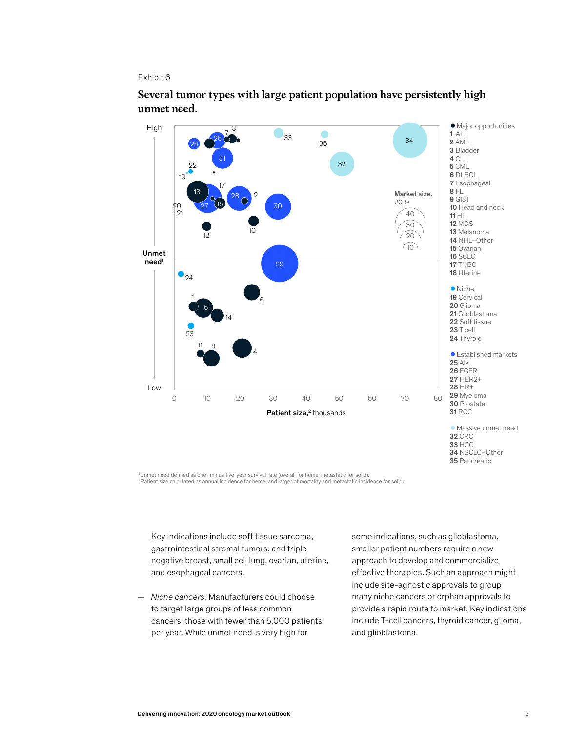

# Several tumor types with large patient population have persistently high **Several tumor types with large patient population have persistently high**  unmet need. **unmet need.**

'Unmet need defined as one- minus five-year survival rate (overall for heme, metastatic for solid).<br><sup>2</sup>Patient size calculated as annual incidence for heme, and larger of mortality and metastatic incidence for solid.

Key indications include soft tissue sarcoma, gastrointestinal stromal tumors, and triple negative breast, small cell lung, ovarian, uterine, and esophageal cancers.

— *Niche cancers.* Manufacturers could choose to target large groups of less common cancers, those with fewer than 5,000 patients per year. While unmet need is very high for

some indications, such as glioblastoma, smaller patient numbers require a new approach to develop and commercialize effective therapies. Such an approach might include site-agnostic approvals to group many niche cancers or orphan approvals to provide a rapid route to market. Key indications include T-cell cancers, thyroid cancer, glioma, and glioblastoma.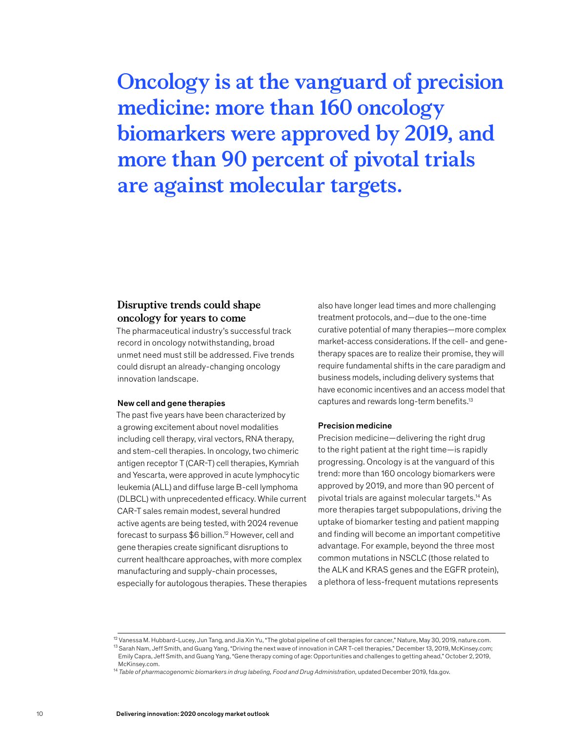**Oncology is at the vanguard of precision medicine: more than 160 oncology biomarkers were approved by 2019, and more than 90 percent of pivotal trials are against molecular targets.**

# **Disruptive trends could shape oncology for years to come**

The pharmaceutical industry's successful track record in oncology notwithstanding, broad unmet need must still be addressed. Five trends could disrupt an already-changing oncology innovation landscape.

# New cell and gene therapies

The past five years have been characterized by a growing excitement about novel modalities including cell therapy, viral vectors, RNA therapy, and stem-cell therapies. In oncology, two chimeric antigen receptor T (CAR-T) cell therapies, Kymriah and Yescarta, were approved in acute lymphocytic leukemia (ALL) and diffuse large B-cell lymphoma (DLBCL) with unprecedented efficacy. While current CAR-T sales remain modest, several hundred active agents are being tested, with 2024 revenue forecast to surpass \$6 billion.12 However, cell and gene therapies create significant disruptions to current healthcare approaches, with more complex manufacturing and supply-chain processes, especially for autologous therapies. These therapies also have longer lead times and more challenging treatment protocols, and—due to the one-time curative potential of many therapies—more complex market-access considerations. If the cell- and genetherapy spaces are to realize their promise, they will require fundamental shifts in the care paradigm and business models, including delivery systems that have economic incentives and an access model that captures and rewards long-term benefits.<sup>13</sup>

### Precision medicine

Precision medicine—delivering the right drug to the right patient at the right time—is rapidly progressing. Oncology is at the vanguard of this trend: more than 160 oncology biomarkers were approved by 2019, and more than 90 percent of pivotal trials are against molecular targets.14 As more therapies target subpopulations, driving the uptake of biomarker testing and patient mapping and finding will become an important competitive advantage. For example, beyond the three most common mutations in NSCLC (those related to the ALK and KRAS genes and the EGFR protein), a plethora of less-frequent mutations represents

<sup>12</sup> Vanessa M. Hubbard-Lucey, Jun Tang, and Jia Xin Yu, "The global pipeline of cell therapies for cancer," Nature, May 30, 2019, nature.com. 13 Sarah Nam, Jeff Smith, and Guang Yang, "Driving the next wave of innovation in CAR T-cell therapies," December 13, 2019, McKinsey.com; Emily Capra, Jeff Smith, and Guang Yang, "Gene therapy coming of age: Opportunities and challenges to getting ahead," October 2, 2019, McKinsey.com.

<sup>14</sup> *Table of pharmacogenomic biomarkers in drug labeling, Food and Drug Administration,* updated December 2019, fda.gov.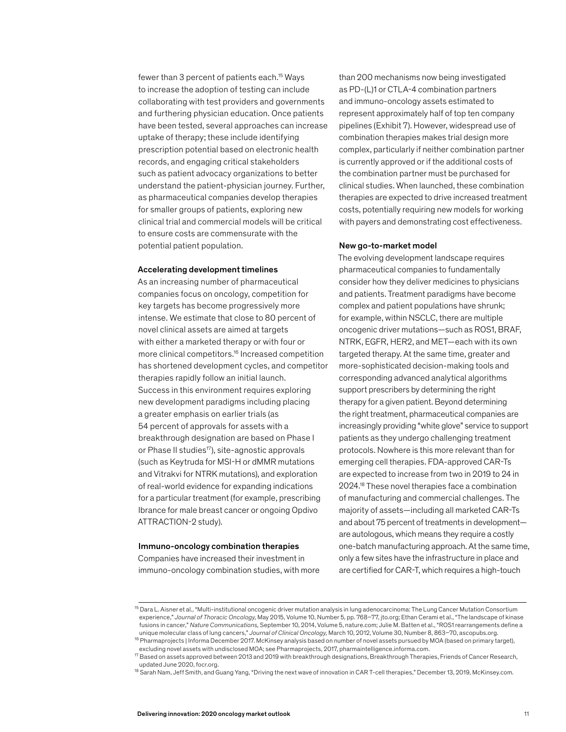fewer than 3 percent of patients each.<sup>15</sup> Ways to increase the adoption of testing can include collaborating with test providers and governments and furthering physician education. Once patients have been tested, several approaches can increase uptake of therapy; these include identifying prescription potential based on electronic health records, and engaging critical stakeholders such as patient advocacy organizations to better understand the patient-physician journey. Further, as pharmaceutical companies develop therapies for smaller groups of patients, exploring new clinical trial and commercial models will be critical to ensure costs are commensurate with the potential patient population.

### Accelerating development timelines

As an increasing number of pharmaceutical companies focus on oncology, competition for key targets has become progressively more intense. We estimate that close to 80 percent of novel clinical assets are aimed at targets with either a marketed therapy or with four or more clinical competitors.16 Increased competition has shortened development cycles, and competitor therapies rapidly follow an initial launch. Success in this environment requires exploring new development paradigms including placing a greater emphasis on earlier trials (as 54 percent of approvals for assets with a breakthrough designation are based on Phase I or Phase II studies<sup>17</sup>), site-agnostic approvals (such as Keytruda for MSI-H or dMMR mutations and Vitrakvi for NTRK mutations), and exploration of real-world evidence for expanding indications for a particular treatment (for example, prescribing Ibrance for male breast cancer or ongoing Opdivo ATTRACTION-2 study).

### Immuno-oncology combination therapies

Companies have increased their investment in immuno-oncology combination studies, with more than 200 mechanisms now being investigated as PD-(L)1 or CTLA-4 combination partners and immuno-oncology assets estimated to represent approximately half of top ten company pipelines (Exhibit 7). However, widespread use of combination therapies makes trial design more complex, particularly if neither combination partner is currently approved or if the additional costs of the combination partner must be purchased for clinical studies. When launched, these combination therapies are expected to drive increased treatment costs, potentially requiring new models for working with payers and demonstrating cost effectiveness.

### New go-to-market model

The evolving development landscape requires pharmaceutical companies to fundamentally consider how they deliver medicines to physicians and patients. Treatment paradigms have become complex and patient populations have shrunk; for example, within NSCLC, there are multiple oncogenic driver mutations—such as ROS1, BRAF, NTRK, EGFR, HER2, and MET—each with its own targeted therapy. At the same time, greater and more-sophisticated decision-making tools and corresponding advanced analytical algorithms support prescribers by determining the right therapy for a given patient. Beyond determining the right treatment, pharmaceutical companies are increasingly providing "white glove" service to support patients as they undergo challenging treatment protocols. Nowhere is this more relevant than for emerging cell therapies. FDA-approved CAR-Ts are expected to increase from two in 2019 to 24 in 2024.18 These novel therapies face a combination of manufacturing and commercial challenges. The majority of assets—including all marketed CAR-Ts and about 75 percent of treatments in development are autologous, which means they require a costly one-batch manufacturing approach. At the same time, only a few sites have the infrastructure in place and are certified for CAR-T, which requires a high-touch

<sup>&</sup>lt;sup>15</sup> Dara L. Aisner et al., "Multi-institutional oncogenic driver mutation analysis in lung adenocarcinoma: The Lung Cancer Mutation Consortium experience," *Journal of Thoracic Oncology,* May 2015, Volume 10, Number 5, pp. 768–77, jto.org; Ethan Cerami et al., "The landscape of kinase fusions in cancer," *Nature Communications,* September 10, 2014, Volume 5, nature.com; Julie M. Batten et al., "ROS1 rearrangements define a unique molecular class of lung cancers," *Journal of Clinical Oncology,* March 10, 2012, Volume 30, Number 8, 863–70, ascopubs.org.

<sup>16</sup> Pharmaprojects | Informa December 2017. McKinsey analysis based on number of novel assets pursued by MOA (based on primary target), excluding novel assets with undisclosed MOA; see Pharmaprojects, 2017, pharmaintelligence.informa.com.

<sup>17</sup> Based on assets approved between 2013 and 2019 with breakthrough designations, Breakthrough Therapies, Friends of Cancer Research, updated June 2020, focr.org.

<sup>&</sup>lt;sup>18</sup> Sarah Nam, Jeff Smith, and Guang Yang, "Driving the next wave of innovation in CAR T-cell therapies," December 13, 2019, McKinsey.com.